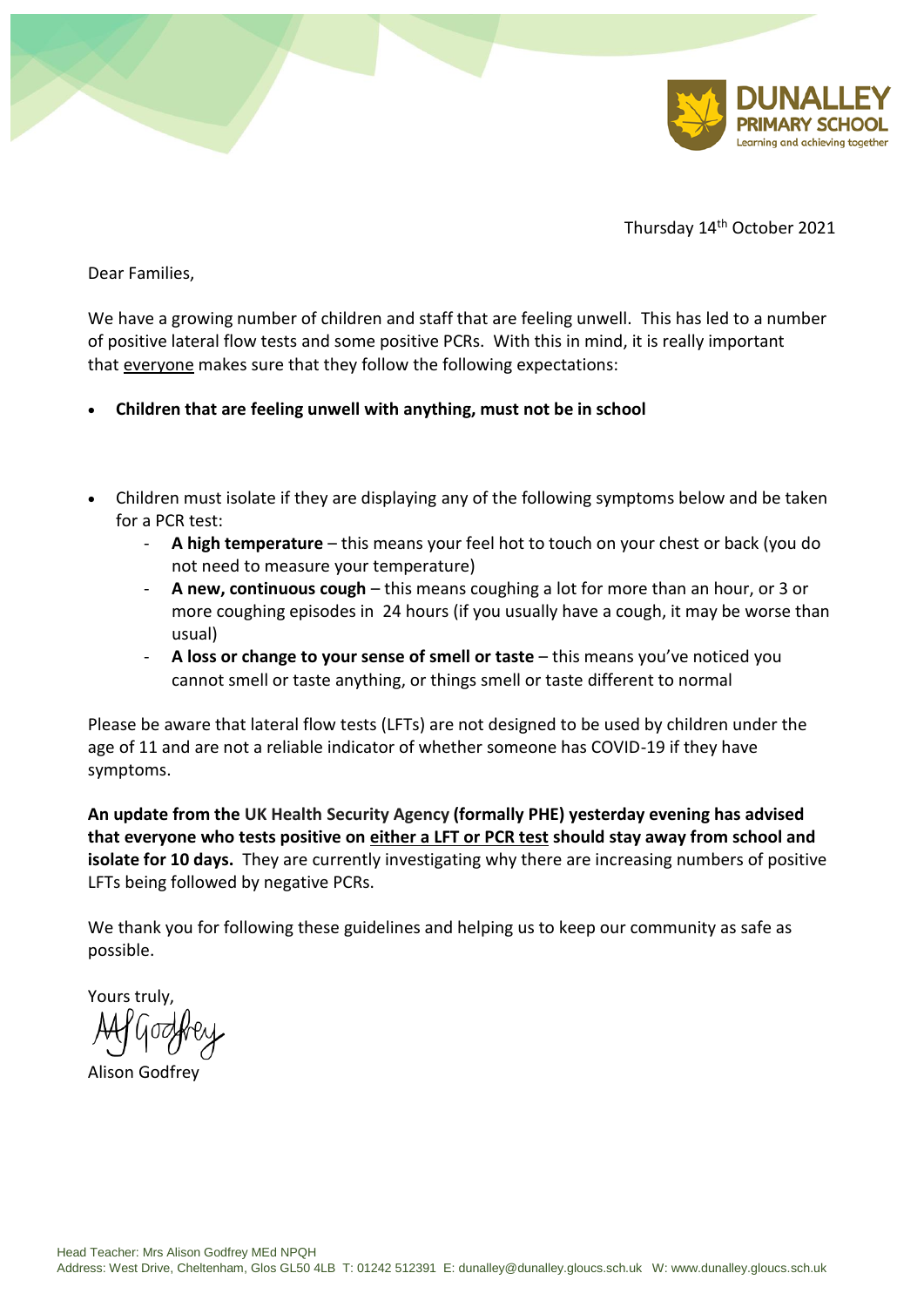



Thursday 14th October 2021

Dear Families,

We have a growing number of children and staff that are feeling unwell. This has led to a number of positive lateral flow tests and some positive PCRs. With this in mind, it is really important that everyone makes sure that they follow the following expectations:

- **Children that are feeling unwell with anything, must not be in school**
- Children must isolate if they are displaying any of the following symptoms below and be taken for a PCR test:
	- **A high temperature** this means your feel hot to touch on your chest or back (you do not need to measure your temperature)
	- **A new, continuous cough** this means coughing a lot for more than an hour, or 3 or more coughing episodes in 24 hours (if you usually have a cough, it may be worse than usual)
	- **A loss or change to your sense of smell or taste** this means you've noticed you cannot smell or taste anything, or things smell or taste different to normal

Please be aware that lateral flow tests (LFTs) are not designed to be used by children under the age of 11 and are not a reliable indicator of whether someone has COVID-19 if they have symptoms.

**An update from the UK Health Security Agency (formally PHE) yesterday evening has advised that everyone who tests positive on either a LFT or PCR test should stay away from school and isolate for 10 days.** They are currently investigating why there are increasing numbers of positive LFTs being followed by negative PCRs.

We thank you for following these guidelines and helping us to keep our community as safe as possible.

Yours truly,

Alison Godfrey